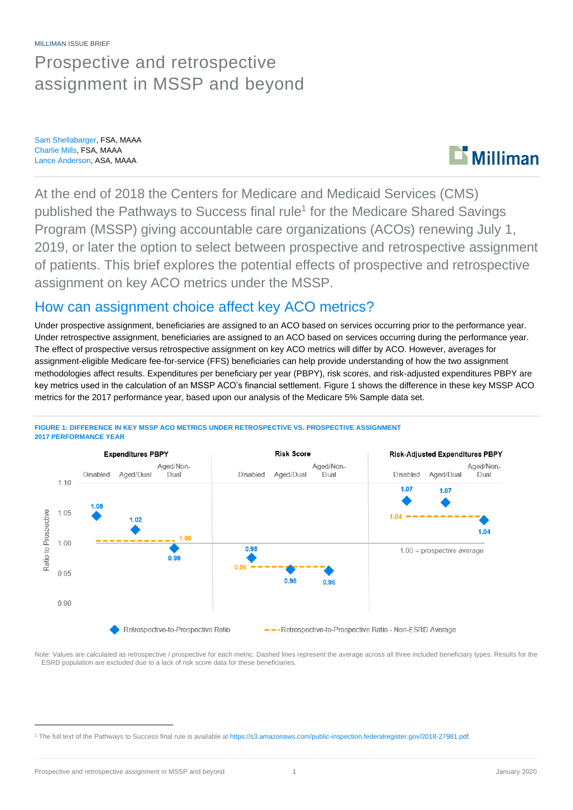MILLIMAN ISSUE BRIEF

## Prospective and retrospective assignment in MSSP and beyond

Sam Shellabarger, FSA, MAAA Charlie Mills, FSA, MAAA Lance Anderson, ASA, MAAA



At the end of 2018 the Centers for Medicare and Medicaid Services (CMS) published the Pathways to Success final rule<sup>1</sup> for the Medicare Shared Savings Program (MSSP) giving accountable care organizations (ACOs) renewing July 1, 2019, or later the option to select between prospective and retrospective assignment of patients. This brief explores the potential effects of prospective and retrospective assignment on key ACO metrics under the MSSP.

### How can assignment choice affect key ACO metrics?

Under prospective assignment, beneficiaries are assigned to an ACO based on services occurring prior to the performance year. Under retrospective assignment, beneficiaries are assigned to an ACO based on services occurring during the performance year. The effect of prospective versus retrospective assignment on key ACO metrics will differ by ACO. However, averages for assignment-eligible Medicare fee-for-service (FFS) beneficiaries can help provide understanding of how the two assignment methodologies affect results. Expenditures per beneficiary per year (PBPY), risk scores, and risk-adjusted expenditures PBPY are key metrics used in the calculation of an MSSP ACO's financial settlement. Figure 1 shows the difference in these key MSSP ACO metrics for the 2017 performance year, based upon our analysis of the Medicare 5% Sample data set.



#### **FIGURE 1: DIFFERENCE IN KEY MSSP ACO METRICS UNDER RETROSPECTIVE VS. PROSPECTIVE ASSIGNMENT 2017 PERFORMANCE YEAR**

Note: Values are calculated as retrospective / prospective for each metric. Dashed lines represent the average across all three included beneficiary types. Results for the ESRD population are excluded due to a lack of risk score data for these beneficiaries.

<sup>1</sup> The full text of the Pathways to Success final rule is available at [https://s3.amazonaws.com/public-inspection.federalregister.gov/2018-27981.pdf.](https://s3.amazonaws.com/public-inspection.federalregister.gov/2018-27981.pdf)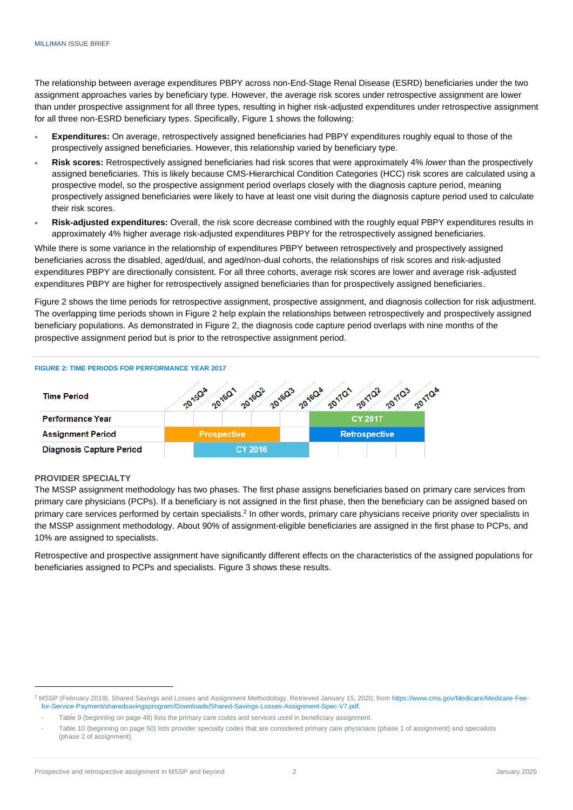The relationship between average expenditures PBPY across non-End-Stage Renal Disease (ESRD) beneficiaries under the two assignment approaches varies by beneficiary type. However, the average risk scores under retrospective assignment are lower than under prospective assignment for all three types, resulting in higher risk-adjusted expenditures under retrospective assignment for all three non-ESRD beneficiary types. Specifically, Figure 1 shows the following:

- **Expenditures:** On average, retrospectively assigned beneficiaries had PBPY expenditures roughly equal to those of the prospectively assigned beneficiaries. However, this relationship varied by beneficiary type.
- **Risk scores:** Retrospectively assigned beneficiaries had risk scores that were approximately 4% *lower* than the prospectively assigned beneficiaries. This is likely because CMS-Hierarchical Condition Categories (HCC) risk scores are calculated using a prospective model, so the prospective assignment period overlaps closely with the diagnosis capture period, meaning prospectively assigned beneficiaries were likely to have at least one visit during the diagnosis capture period used to calculate their risk scores.
- **Risk-adjusted expenditures:** Overall, the risk score decrease combined with the roughly equal PBPY expenditures results in approximately 4% higher average risk-adjusted expenditures PBPY for the retrospectively assigned beneficiaries.

While there is some variance in the relationship of expenditures PBPY between retrospectively and prospectively assigned beneficiaries across the disabled, aged/dual, and aged/non-dual cohorts, the relationships of risk scores and risk-adjusted expenditures PBPY are directionally consistent. For all three cohorts, average risk scores are lower and average risk-adjusted expenditures PBPY are higher for retrospectively assigned beneficiaries than for prospectively assigned beneficiaries.

Figure 2 shows the time periods for retrospective assignment, prospective assignment, and diagnosis collection for risk adjustment. The overlapping time periods shown in Figure 2 help explain the relationships between retrospectively and prospectively assigned beneficiary populations. As demonstrated in Figure 2, the diagnosis code capture period overlaps with nine months of the prospective assignment period but is prior to the retrospective assignment period.



#### **PROVIDER SPECIALTY**

The MSSP assignment methodology has two phases. The first phase assigns beneficiaries based on primary care services from primary care physicians (PCPs). If a beneficiary is not assigned in the first phase, then the beneficiary can be assigned based on primary care services performed by certain specialists.<sup>2</sup> In other words, primary care physicians receive priority over specialists in the MSSP assignment methodology. About 90% of assignment-eligible beneficiaries are assigned in the first phase to PCPs, and 10% are assigned to specialists.

Retrospective and prospective assignment have significantly different effects on the characteristics of the assigned populations for beneficiaries assigned to PCPs and specialists. Figure 3 shows these results.

<sup>&</sup>lt;sup>2</sup> MSSP (February 2019). Shared Savings and Losses and Assignment Methodology. Retrieved January 15, 2020, fro[m https://www.cms.gov/Medicare/Medicare-Fee](https://www.cms.gov/Medicare/Medicare-Fee-for-Service-Payment/sharedsavingsprogram/Downloads/Shared-Savings-Losses-Assignment-Spec-V7.pdf)[for-Service-Payment/sharedsavingsprogram/Downloads/Shared-Savings-Losses-Assignment-Spec-V7.pdf.](https://www.cms.gov/Medicare/Medicare-Fee-for-Service-Payment/sharedsavingsprogram/Downloads/Shared-Savings-Losses-Assignment-Spec-V7.pdf)

Table 9 (beginning on page 48) lists the primary care codes and services used in beneficiary assignment.

Table 10 (beginning on page 50) lists provider specialty codes that are considered primary care physicians (phase 1 of assignment) and specialists (phase 2 of assignment).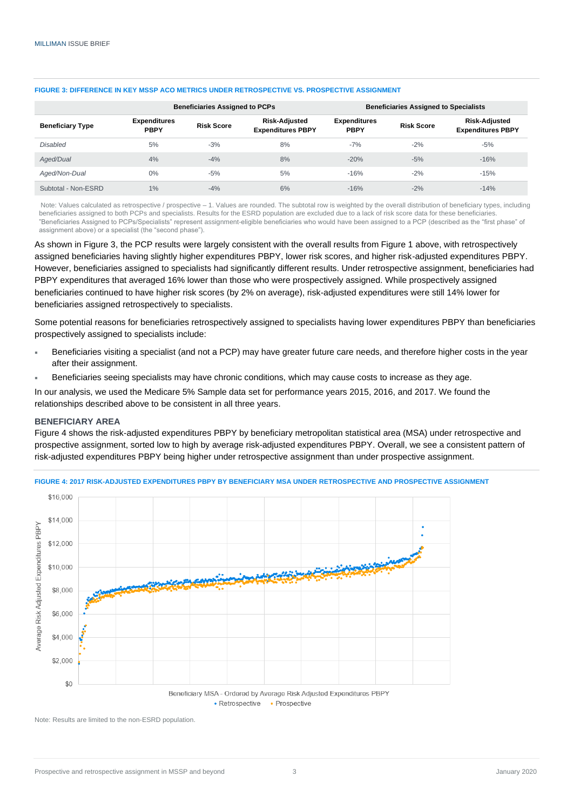| <b>Beneficiary Type</b> | <b>Beneficiaries Assigned to PCPs</b> |                   |                                                  | <b>Beneficiaries Assigned to Specialists</b> |                   |                                                  |
|-------------------------|---------------------------------------|-------------------|--------------------------------------------------|----------------------------------------------|-------------------|--------------------------------------------------|
|                         | <b>Expenditures</b><br><b>PBPY</b>    | <b>Risk Score</b> | <b>Risk-Adjusted</b><br><b>Expenditures PBPY</b> | <b>Expenditures</b><br><b>PBPY</b>           | <b>Risk Score</b> | <b>Risk-Adjusted</b><br><b>Expenditures PBPY</b> |
| <b>Disabled</b>         | 5%                                    | $-3%$             | 8%                                               | $-7%$                                        | $-2%$             | $-5%$                                            |
| Aged/Dual               | 4%                                    | $-4%$             | 8%                                               | $-20%$                                       | $-5%$             | $-16%$                                           |
| Aged/Non-Dual           | $0\%$                                 | $-5%$             | 5%                                               | $-16%$                                       | $-2%$             | $-15%$                                           |
| Subtotal - Non-ESRD     | 1%                                    | $-4%$             | 6%                                               | $-16%$                                       | $-2%$             | $-14%$                                           |

#### **FIGURE 3: DIFFERENCE IN KEY MSSP ACO METRICS UNDER RETROSPECTIVE VS. PROSPECTIVE ASSIGNMENT**

Note: Values calculated as retrospective / prospective – 1. Values are rounded. The subtotal row is weighted by the overall distribution of beneficiary types, including beneficiaries assigned to both PCPs and specialists. Results for the ESRD population are excluded due to a lack of risk score data for these beneficiaries. "Beneficiaries Assigned to PCPs/Specialists" represent assignment-eligible beneficiaries who would have been assigned to a PCP (described as the "first phase" of assignment above) or a specialist (the "second phase").

As shown in Figure 3, the PCP results were largely consistent with the overall results from Figure 1 above, with retrospectively assigned beneficiaries having slightly higher expenditures PBPY, lower risk scores, and higher risk-adjusted expenditures PBPY. However, beneficiaries assigned to specialists had significantly different results. Under retrospective assignment, beneficiaries had PBPY expenditures that averaged 16% lower than those who were prospectively assigned. While prospectively assigned beneficiaries continued to have higher risk scores (by 2% on average), risk-adjusted expenditures were still 14% lower for beneficiaries assigned retrospectively to specialists.

Some potential reasons for beneficiaries retrospectively assigned to specialists having lower expenditures PBPY than beneficiaries prospectively assigned to specialists include:

- Beneficiaries visiting a specialist (and not a PCP) may have greater future care needs, and therefore higher costs in the year after their assignment.
- Beneficiaries seeing specialists may have chronic conditions, which may cause costs to increase as they age.

In our analysis, we used the Medicare 5% Sample data set for performance years 2015, 2016, and 2017. We found the relationships described above to be consistent in all three years.

#### **BENEFICIARY AREA**

Figure 4 shows the risk-adjusted expenditures PBPY by beneficiary metropolitan statistical area (MSA) under retrospective and prospective assignment, sorted low to high by average risk-adjusted expenditures PBPY. Overall, we see a consistent pattern of risk-adjusted expenditures PBPY being higher under retrospective assignment than under prospective assignment.



**FIGURE 4: 2017 RISK-ADJUSTED EXPENDITURES PBPY BY BENEFICIARY MSA UNDER RETROSPECTIVE AND PROSPECTIVE ASSIGNMENT**

• Retrospective • Prospective

Note: Results are limited to the non-ESRD population.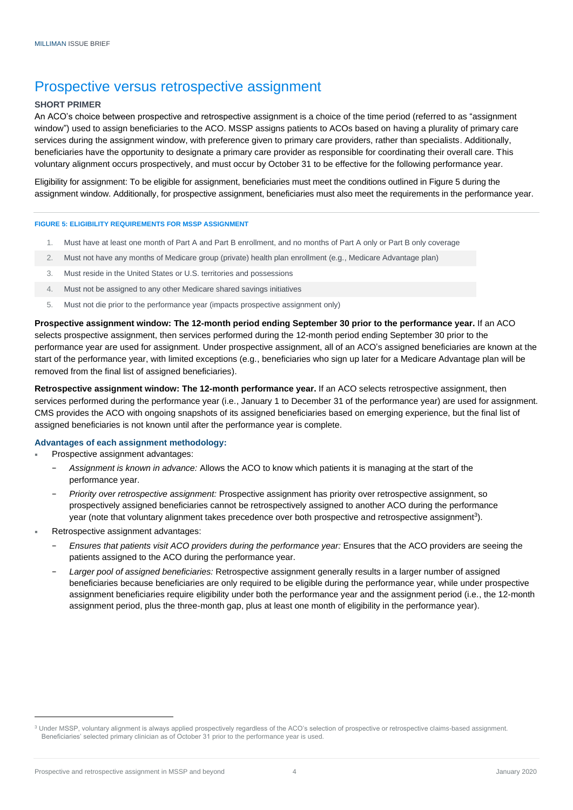### Prospective versus retrospective assignment

#### **SHORT PRIMER**

An ACO's choice between prospective and retrospective assignment is a choice of the time period (referred to as "assignment window") used to assign beneficiaries to the ACO. MSSP assigns patients to ACOs based on having a plurality of primary care services during the assignment window, with preference given to primary care providers, rather than specialists. Additionally, beneficiaries have the opportunity to designate a primary care provider as responsible for coordinating their overall care. This voluntary alignment occurs prospectively, and must occur by October 31 to be effective for the following performance year.

Eligibility for assignment: To be eligible for assignment, beneficiaries must meet the conditions outlined in Figure 5 during the assignment window. Additionally, for prospective assignment, beneficiaries must also meet the requirements in the performance year.

#### **FIGURE 5: ELIGIBILITY REQUIREMENTS FOR MSSP ASSIGNMENT**

- 1. Must have at least one month of Part A and Part B enrollment, and no months of Part A only or Part B only coverage
- 2. Must not have any months of Medicare group (private) health plan enrollment (e.g., Medicare Advantage plan)
- 3. Must reside in the United States or U.S. territories and possessions
- 4. Must not be assigned to any other Medicare shared savings initiatives
- 5. Must not die prior to the performance year (impacts prospective assignment only)

**Prospective assignment window: The 12-month period ending September 30 prior to the performance year.** If an ACO selects prospective assignment, then services performed during the 12-month period ending September 30 prior to the performance year are used for assignment. Under prospective assignment, all of an ACO's assigned beneficiaries are known at the start of the performance year, with limited exceptions (e.g., beneficiaries who sign up later for a Medicare Advantage plan will be removed from the final list of assigned beneficiaries).

**Retrospective assignment window: The 12-month performance year.** If an ACO selects retrospective assignment, then services performed during the performance year (i.e., January 1 to December 31 of the performance year) are used for assignment. CMS provides the ACO with ongoing snapshots of its assigned beneficiaries based on emerging experience, but the final list of assigned beneficiaries is not known until after the performance year is complete.

#### **Advantages of each assignment methodology:**

- Prospective assignment advantages:
	- − *Assignment is known in advance:* Allows the ACO to know which patients it is managing at the start of the performance year.
	- − *Priority over retrospective assignment:* Prospective assignment has priority over retrospective assignment, so prospectively assigned beneficiaries cannot be retrospectively assigned to another ACO during the performance year (note that voluntary alignment takes precedence over both prospective and retrospective assignment<sup>3</sup>).
- Retrospective assignment advantages:
	- − *Ensures that patients visit ACO providers during the performance year:* Ensures that the ACO providers are seeing the patients assigned to the ACO during the performance year.
	- − *Larger pool of assigned beneficiaries:* Retrospective assignment generally results in a larger number of assigned beneficiaries because beneficiaries are only required to be eligible during the performance year, while under prospective assignment beneficiaries require eligibility under both the performance year and the assignment period (i.e., the 12-month assignment period, plus the three-month gap, plus at least one month of eligibility in the performance year).

<sup>&</sup>lt;sup>3</sup> Under MSSP, voluntary alignment is always applied prospectively regardless of the ACO's selection of prospective or retrospective claims-based assignment. Beneficiaries' selected primary clinician as of October 31 prior to the performance year is used.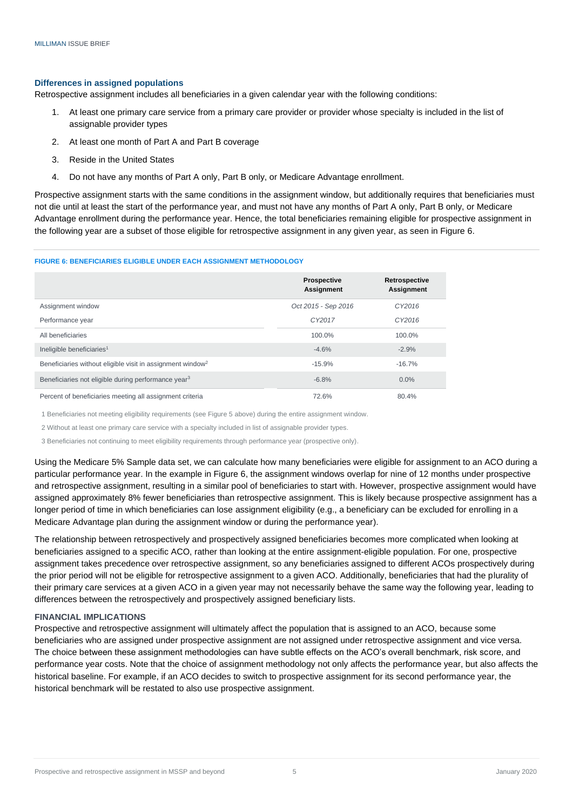#### **Differences in assigned populations**

Retrospective assignment includes all beneficiaries in a given calendar year with the following conditions:

- 1. At least one primary care service from a primary care provider or provider whose specialty is included in the list of assignable provider types
- 2. At least one month of Part A and Part B coverage
- 3. Reside in the United States
- 4. Do not have any months of Part A only, Part B only, or Medicare Advantage enrollment.

Prospective assignment starts with the same conditions in the assignment window, but additionally requires that beneficiaries must not die until at least the start of the performance year, and must not have any months of Part A only, Part B only, or Medicare Advantage enrollment during the performance year. Hence, the total beneficiaries remaining eligible for prospective assignment in the following year are a subset of those eligible for retrospective assignment in any given year, as seen in Figure 6.

#### **FIGURE 6: BENEFICIARIES ELIGIBLE UNDER EACH ASSIGNMENT METHODOLOGY**

|                                                                        | <b>Prospective</b><br>Assignment | Retrospective<br><b>Assignment</b> |
|------------------------------------------------------------------------|----------------------------------|------------------------------------|
| Assignment window                                                      | Oct 2015 - Sep 2016              | CY2016                             |
| Performance year                                                       | CY2017                           | CY2016                             |
| All beneficiaries                                                      | 100.0%                           | 100.0%                             |
| Ineligible beneficiaries <sup>1</sup>                                  | $-4.6%$                          | $-2.9%$                            |
| Beneficiaries without eligible visit in assignment window <sup>2</sup> | $-15.9%$                         | $-16.7\%$                          |
| Beneficiaries not eligible during performance year <sup>3</sup>        | $-6.8%$                          | $0.0\%$                            |
| Percent of beneficiaries meeting all assignment criteria               | 72.6%                            | 80.4%                              |

1 Beneficiaries not meeting eligibility requirements (see Figure 5 above) during the entire assignment window.

2 Without at least one primary care service with a specialty included in list of assignable provider types.

3 Beneficiaries not continuing to meet eligibility requirements through performance year (prospective only).

Using the Medicare 5% Sample data set, we can calculate how many beneficiaries were eligible for assignment to an ACO during a particular performance year. In the example in Figure 6, the assignment windows overlap for nine of 12 months under prospective and retrospective assignment, resulting in a similar pool of beneficiaries to start with. However, prospective assignment would have assigned approximately 8% fewer beneficiaries than retrospective assignment. This is likely because prospective assignment has a longer period of time in which beneficiaries can lose assignment eligibility (e.g., a beneficiary can be excluded for enrolling in a Medicare Advantage plan during the assignment window or during the performance year).

The relationship between retrospectively and prospectively assigned beneficiaries becomes more complicated when looking at beneficiaries assigned to a specific ACO, rather than looking at the entire assignment-eligible population. For one, prospective assignment takes precedence over retrospective assignment, so any beneficiaries assigned to different ACOs prospectively during the prior period will not be eligible for retrospective assignment to a given ACO. Additionally, beneficiaries that had the plurality of their primary care services at a given ACO in a given year may not necessarily behave the same way the following year, leading to differences between the retrospectively and prospectively assigned beneficiary lists.

#### **FINANCIAL IMPLICATIONS**

Prospective and retrospective assignment will ultimately affect the population that is assigned to an ACO, because some beneficiaries who are assigned under prospective assignment are not assigned under retrospective assignment and vice versa. The choice between these assignment methodologies can have subtle effects on the ACO's overall benchmark, risk score, and performance year costs. Note that the choice of assignment methodology not only affects the performance year, but also affects the historical baseline. For example, if an ACO decides to switch to prospective assignment for its second performance year, the historical benchmark will be restated to also use prospective assignment.